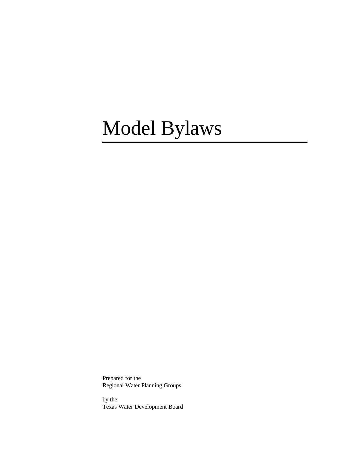# Model Bylaws

Prepared for the Regional Water Planning Groups

by the Texas Water Development Board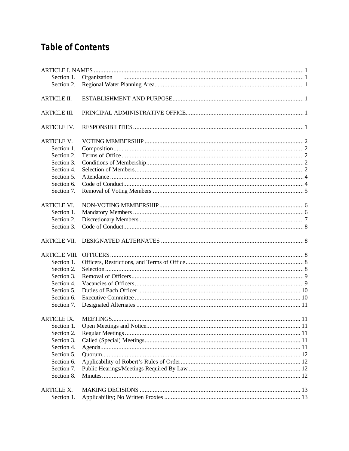# **Table of Contents**

| Section 1.           | Organization             |  |
|----------------------|--------------------------|--|
| Section 2.           |                          |  |
| <b>ARTICLE II.</b>   |                          |  |
| <b>ARTICLE III.</b>  |                          |  |
| <b>ARTICLE IV.</b>   |                          |  |
| <b>ARTICLE V.</b>    |                          |  |
| Section 1.           |                          |  |
| Section 2.           |                          |  |
| Section 3.           |                          |  |
| Section 4.           |                          |  |
| Section 5.           |                          |  |
| Section 6.           |                          |  |
| Section 7.           |                          |  |
| <b>ARTICLE VI.</b>   |                          |  |
| Section 1.           |                          |  |
| Section 2.           |                          |  |
| Section 3.           |                          |  |
| <b>ARTICLE VII.</b>  |                          |  |
| <b>ARTICLE VIII.</b> |                          |  |
| Section 1.           |                          |  |
| Section 2.           |                          |  |
| Section 3.           |                          |  |
| Section 4.           |                          |  |
| Section 5.           |                          |  |
| Section 6.           |                          |  |
| Section 7.           |                          |  |
| <b>ARTICLE IX.</b>   | <b>MEETINGS.</b><br>. 11 |  |
| Section 1.           |                          |  |
| Section 2.           |                          |  |
| Section 3.           |                          |  |
| Section 4.           |                          |  |
| Section 5.           |                          |  |
| Section 6.           |                          |  |
| Section 7.           |                          |  |
| Section 8.           |                          |  |
|                      |                          |  |
| <b>ARTICLE X.</b>    |                          |  |
| Section 1.           |                          |  |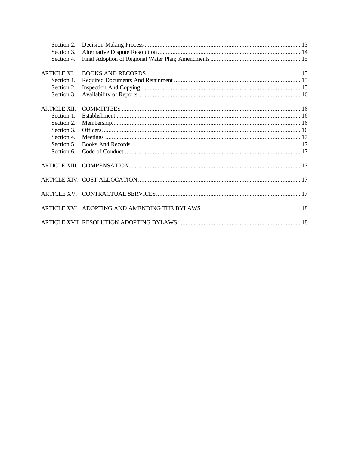| Section 2.          |  |
|---------------------|--|
| Section 3.          |  |
| Section 4.          |  |
|                     |  |
| <b>ARTICLE XI.</b>  |  |
| Section 1.          |  |
| Section 2.          |  |
| Section 3.          |  |
|                     |  |
| <b>ARTICLE XII.</b> |  |
| Section 1.          |  |
| Section 2.          |  |
| Section 3.          |  |
| Section 4.          |  |
| Section 5.          |  |
| Section 6.          |  |
|                     |  |
|                     |  |
|                     |  |
|                     |  |
|                     |  |
|                     |  |
|                     |  |
|                     |  |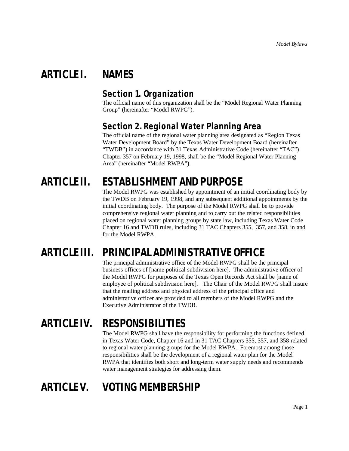# **ARTICLE I. NAMES**

#### **Section 1. Organization**

The official name of this organization shall be the "Model Regional Water Planning Group" (hereinafter "Model RWPG").

### **Section 2. Regional Water Planning Area**

The official name of the regional water planning area designated as "Region Texas Water Development Board" by the Texas Water Development Board (hereinafter "TWDB") in accordance with 31 Texas Administrative Code (hereinafter "TAC") Chapter 357 on February 19, 1998, shall be the "Model Regional Water Planning Area" (hereinafter "Model RWPA").

# **ARTICLE II. ESTABLISHMENT AND PURPOSE**

The Model RWPG was established by appointment of an initial coordinating body by the TWDB on February 19, 1998, and any subsequent additional appointments by the initial coordinating body. The purpose of the Model RWPG shall be to provide comprehensive regional water planning and to carry out the related responsibilities placed on regional water planning groups by state law, including Texas Water Code Chapter 16 and TWDB rules, including 31 TAC Chapters 355, 357, and 358, in and for the Model RWPA.

# **ARTICLE III. PRINCIPAL ADMINISTRATIVE OFFICE**

The principal administrative office of the Model RWPG shall be the principal business offices of [name political subdivision here]. The administrative officer of the Model RWPG for purposes of the Texas Open Records Act shall be [name of employee of political subdivision here]. The Chair of the Model RWPG shall insure that the mailing address and physical address of the principal office and administrative officer are provided to all members of the Model RWPG and the Executive Administrator of the TWDB.

# **ARTICLE IV. RESPONSIBILITIES**

The Model RWPG shall have the responsibility for performing the functions defined in Texas Water Code, Chapter 16 and in 31 TAC Chapters 355, 357, and 358 related to regional water planning groups for the Model RWPA. Foremost among those responsibilities shall be the development of a regional water plan for the Model RWPA that identifies both short and long-term water supply needs and recommends water management strategies for addressing them.

# **ARTICLE V. VOTING MEMBERSHIP**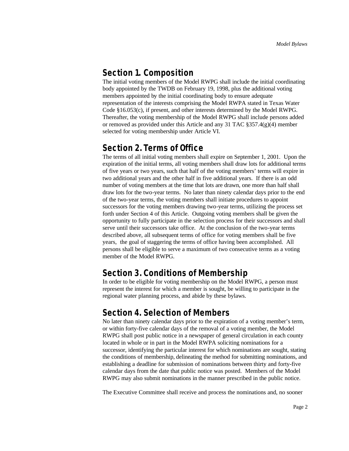#### **Section 1. Composition**

The initial voting members of the Model RWPG shall include the initial coordinating body appointed by the TWDB on February 19, 1998, plus the additional voting members appointed by the initial coordinating body to ensure adequate representation of the interests comprising the Model RWPA stated in Texas Water Code §16.053(c), if present, and other interests determined by the Model RWPG. Thereafter, the voting membership of the Model RWPG shall include persons added or removed as provided under this Article and any 31 TAC  $\S 357.4(g)(4)$  member selected for voting membership under Article VI.

#### **Section 2. Terms of Office**

The terms of all initial voting members shall expire on September 1, 2001. Upon the expiration of the initial terms, all voting members shall draw lots for additional terms of five years or two years, such that half of the voting members' terms will expire in two additional years and the other half in five additional years. If there is an odd number of voting members at the time that lots are drawn, one more than half shall draw lots for the two-year terms. No later than ninety calendar days prior to the end of the two-year terms, the voting members shall initiate procedures to appoint successors for the voting members drawing two-year terms, utilizing the process set forth under Section 4 of this Article. Outgoing voting members shall be given the opportunity to fully participate in the selection process for their successors and shall serve until their successors take office. At the conclusion of the two-year terms described above, all subsequent terms of office for voting members shall be five years, the goal of staggering the terms of office having been accomplished. All persons shall be eligible to serve a maximum of two consecutive terms as a voting member of the Model RWPG.

#### **Section 3. Conditions of Membership**

In order to be eligible for voting membership on the Model RWPG, a person must represent the interest for which a member is sought, be willing to participate in the regional water planning process, and abide by these bylaws.

#### **Section 4. Selection of Members**

No later than ninety calendar days prior to the expiration of a voting member's term, or within forty-five calendar days of the removal of a voting member, the Model RWPG shall post public notice in a newspaper of general circulation in each county located in whole or in part in the Model RWPA soliciting nominations for a successor, identifying the particular interest for which nominations are sought, stating the conditions of membership, delineating the method for submitting nominations, and establishing a deadline for submission of nominations between thirty and forty-five calendar days from the date that public notice was posted. Members of the Model RWPG may also submit nominations in the manner prescribed in the public notice.

The Executive Committee shall receive and process the nominations and, no sooner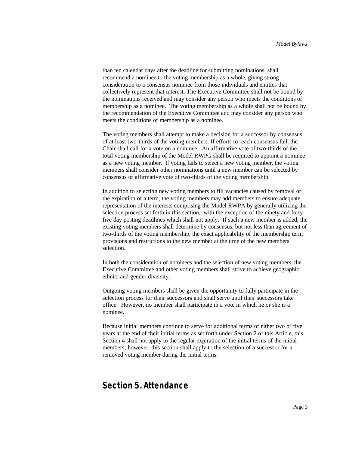than ten calendar days after the deadline for submitting nominations, shall recommend a nominee to the voting membership as a whole, giving strong consideration to a consensus nominee from those individuals and entities that collectively represent that interest. The Executive Committee shall not be bound by the nominations received and may consider any person who meets the conditions of membership as a nominee. The voting membership as a whole shall not be bound by the recommendation of the Executive Committee and may consider any person who meets the conditions of membership as a nominee.

The voting members shall attempt to make a decision for a successor by consensus of at least two-thirds of the voting members. If efforts to reach consensus fail, the Chair shall call for a vote on a nominee. An affirmative vote of two-thirds of the total voting membership of the Model RWPG shall be required to appoint a nominee as a new voting member. If voting fails to select a new voting member, the voting members shall consider other nominations until a new member can be selected by consensus or affirmative vote of two-thirds of the voting membership.

In addition to selecting new voting members to fill vacancies caused by removal or the expiration of a term, the voting members may add members to ensure adequate representation of the interests comprising the Model RWPA by generally utilizing the selection process set forth in this section, with the exception of the ninety and fortyfive day posting deadlines which shall not apply. If such a new member is added, the existing voting members shall determine by consensus, but not less than agreement of two-thirds of the voting membership, the exact applicability of the membership term provisions and restrictions to the new member at the time of the new members selection.

In both the consideration of nominees and the selection of new voting members, the Executive Committee and other voting members shall strive to achieve geographic, ethnic, and gender diversity.

Outgoing voting members shall be given the opportunity to fully participate in the selection process for their successors and shall serve until their successors take office. However, no member shall participate in a vote in which he or she is a nominee.

Because initial members continue to serve for additional terms of either two or five years at the end of their initial terms as set forth under Section 2 of this Article, this Section 4 shall not apply to the regular expiration of the initial terms of the initial members; however, this section shall apply to the selection of a successor for a removed voting member during the initial terms.

#### **Section 5. Attendance**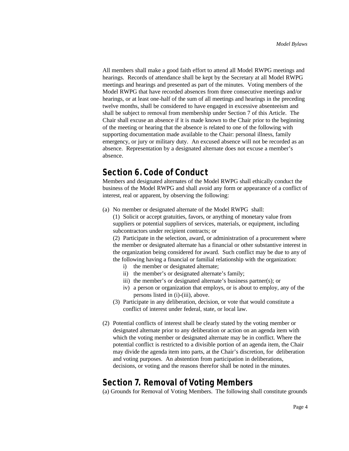All members shall make a good faith effort to attend all Model RWPG meetings and hearings. Records of attendance shall be kept by the Secretary at all Model RWPG meetings and hearings and presented as part of the minutes. Voting members of the Model RWPG that have recorded absences from three consecutive meetings and/or hearings, or at least one-half of the sum of all meetings and hearings in the preceding twelve months, shall be considered to have engaged in excessive absenteeism and shall be subject to removal from membership under Section 7 of this Article. The Chair shall excuse an absence if it is made known to the Chair prior to the beginning of the meeting or hearing that the absence is related to one of the following with supporting documentation made available to the Chair: personal illness, family emergency, or jury or military duty. An excused absence will not be recorded as an absence. Representation by a designated alternate does not excuse a member's absence.

#### **Section 6. Code of Conduct**

Members and designated alternates of the Model RWPG shall ethically conduct the business of the Model RWPG and shall avoid any form or appearance of a conflict of interest, real or apparent, by observing the following:

(a) No member or designated alternate of the Model RWPG shall:

(1) Solicit or accept gratuities, favors, or anything of monetary value from suppliers or potential suppliers of services, materials, or equipment, including subcontractors under recipient contracts; or

(2) Participate in the selection, award, or administration of a procurement where the member or designated alternate has a financial or other substantive interest in the organization being considered for award. Such conflict may be due to any of the following having a financial or familial relationship with the organization:

- i) the member or designated alternate;
- ii) the member's or designated alternate's family;
- iii) the member's or designated alternate's business partner(s); or
- iv) a person or organization that employs, or is about to employ, any of the persons listed in (i)-(iii), above.
- (3) Participate in any deliberation, decision, or vote that would constitute a conflict of interest under federal, state, or local law.
- (2) Potential conflicts of interest shall be clearly stated by the voting member or designated alternate prior to any deliberation or action on an agenda item with which the voting member or designated alternate may be in conflict. Where the potential conflict is restricted to a divisible portion of an agenda item, the Chair may divide the agenda item into parts, at the Chair's discretion, for deliberation and voting purposes. An abstention from participation in deliberations, decisions, or voting and the reasons therefor shall be noted in the minutes.

#### **Section 7. Removal of Voting Members**

(a) Grounds for Removal of Voting Members. The following shall constitute grounds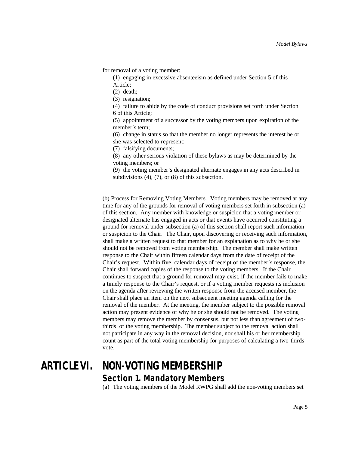for removal of a voting member:

(1) engaging in excessive absenteeism as defined under Section 5 of this Article;

(2) death;

(3) resignation;

(4) failure to abide by the code of conduct provisions set forth under Section 6 of this Article;

(5) appointment of a successor by the voting members upon expiration of the member's term;

(6) change in status so that the member no longer represents the interest he or she was selected to represent;

(7) falsifying documents;

(8) any other serious violation of these bylaws as may be determined by the voting members; or

(9) the voting member's designated alternate engages in any acts described in subdivisions (4), (7), or (8) of this subsection.

(b) Process for Removing Voting Members. Voting members may be removed at any time for any of the grounds for removal of voting members set forth in subsection (a) of this section. Any member with knowledge or suspicion that a voting member or designated alternate has engaged in acts or that events have occurred constituting a ground for removal under subsection (a) of this section shall report such information or suspicion to the Chair. The Chair, upon discovering or receiving such information, shall make a written request to that member for an explanation as to why he or she should not be removed from voting membership. The member shall make written response to the Chair within fifteen calendar days from the date of receipt of the Chair's request. Within five calendar days of receipt of the member's response, the Chair shall forward copies of the response to the voting members. If the Chair continues to suspect that a ground for removal may exist, if the member fails to make a timely response to the Chair's request, or if a voting member requests its inclusion on the agenda after reviewing the written response from the accused member, the Chair shall place an item on the next subsequent meeting agenda calling for the removal of the member. At the meeting, the member subject to the possible removal action may present evidence of why he or she should not be removed. The voting members may remove the member by consensus, but not less than agreement of twothirds of the voting membership. The member subject to the removal action shall not participate in any way in the removal decision, nor shall his or her membership count as part of the total voting membership for purposes of calculating a two-thirds vote.

# **ARTICLE VI. NON-VOTING MEMBERSHIP Section 1. Mandatory Members**

(a) The voting members of the Model RWPG shall add the non-voting members set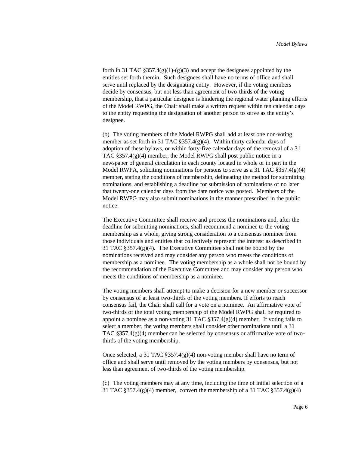forth in 31 TAC  $\S 357.4(g)(1)-(g)(3)$  and accept the designees appointed by the entities set forth therein. Such designees shall have no terms of office and shall serve until replaced by the designating entity. However, if the voting members decide by consensus, but not less than agreement of two-thirds of the voting membership, that a particular designee is hindering the regional water planning efforts of the Model RWPG, the Chair shall make a written request within ten calendar days to the entity requesting the designation of another person to serve as the entity's designee.

(b) The voting members of the Model RWPG shall add at least one non-voting member as set forth in 31 TAC  $\S 357.4(g)(4)$ . Within thirty calendar days of adoption of these bylaws, or within forty-five calendar days of the removal of a 31 TAC §357.4(g)(4) member, the Model RWPG shall post public notice in a newspaper of general circulation in each county located in whole or in part in the Model RWPA, soliciting nominations for persons to serve as a 31 TAC  $\S 357.4(g)(4)$ member, stating the conditions of membership, delineating the method for submitting nominations, and establishing a deadline for submission of nominations of no later that twenty-one calendar days from the date notice was posted. Members of the Model RWPG may also submit nominations in the manner prescribed in the public notice.

The Executive Committee shall receive and process the nominations and, after the deadline for submitting nominations, shall recommend a nominee to the voting membership as a whole, giving strong consideration to a consensus nominee from those individuals and entities that collectively represent the interest as described in 31 TAC §357.4(g)(4). The Executive Committee shall not be bound by the nominations received and may consider any person who meets the conditions of membership as a nominee. The voting membership as a whole shall not be bound by the recommendation of the Executive Committee and may consider any person who meets the conditions of membership as a nominee.

The voting members shall attempt to make a decision for a new member or successor by consensus of at least two-thirds of the voting members. If efforts to reach consensus fail, the Chair shall call for a vote on a nominee. An affirmative vote of two-thirds of the total voting membership of the Model RWPG shall be required to appoint a nominee as a non-voting 31 TAC §357.4(g)(4) member. If voting fails to select a member, the voting members shall consider other nominations until a 31 TAC  $\S 357.4(g)(4)$  member can be selected by consensus or affirmative vote of twothirds of the voting membership.

Once selected, a 31 TAC  $\S 357.4(g)(4)$  non-voting member shall have no term of office and shall serve until removed by the voting members by consensus, but not less than agreement of two-thirds of the voting membership.

(c) The voting members may at any time, including the time of initial selection of a 31 TAC  $\S 357.4(g)(4)$  member, convert the membership of a 31 TAC  $\S 357.4(g)(4)$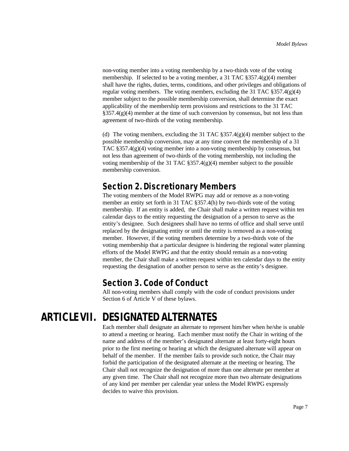non-voting member into a voting membership by a two-thirds vote of the voting membership. If selected to be a voting member, a 31 TAC §357.4(g)(4) member shall have the rights, duties, terms, conditions, and other privileges and obligations of regular voting members. The voting members, excluding the 31 TAC  $\S 357.4(g)(4)$ member subject to the possible membership conversion, shall determine the exact applicability of the membership term provisions and restrictions to the 31 TAC  $\S 357.4(g)(4)$  member at the time of such conversion by consensus, but not less than agreement of two-thirds of the voting membership.

(d) The voting members, excluding the 31 TAC  $\S 357.4(g)(4)$  member subject to the possible membership conversion, may at any time convert the membership of a 31 TAC  $\S 357.4(g)(4)$  voting member into a non-voting membership by consensus, but not less than agreement of two-thirds of the voting membership, not including the voting membership of the 31 TAC  $\S 357.4(g)(4)$  member subject to the possible membership conversion.

# **Section 2. Discretionary Members**

The voting members of the Model RWPG may add or remove as a non-voting member an entity set forth in 31 TAC §357.4(h) by two-thirds vote of the voting membership. If an entity is added, the Chair shall make a written request within ten calendar days to the entity requesting the designation of a person to serve as the entity's designee. Such designees shall have no terms of office and shall serve until replaced by the designating entity or until the entity is removed as a non-voting member. However, if the voting members determine by a two-thirds vote of the voting membership that a particular designee is hindering the regional water planning efforts of the Model RWPG and that the entity should remain as a non-voting member, the Chair shall make a written request within ten calendar days to the entity requesting the designation of another person to serve as the entity's designee.

#### **Section 3. Code of Conduct**

All non-voting members shall comply with the code of conduct provisions under Section 6 of Article V of these bylaws.

# **ARTICLE VII. DESIGNATED ALTERNATES**

Each member shall designate an alternate to represent him/her when he/she is unable to attend a meeting or hearing. Each member must notify the Chair in writing of the name and address of the member's designated alternate at least forty-eight hours prior to the first meeting or hearing at which the designated alternate will appear on behalf of the member. If the member fails to provide such notice, the Chair may forbid the participation of the designated alternate at the meeting or hearing. The Chair shall not recognize the designation of more than one alternate per member at any given time. The Chair shall not recognize more than two alternate designations of any kind per member per calendar year unless the Model RWPG expressly decides to waive this provision.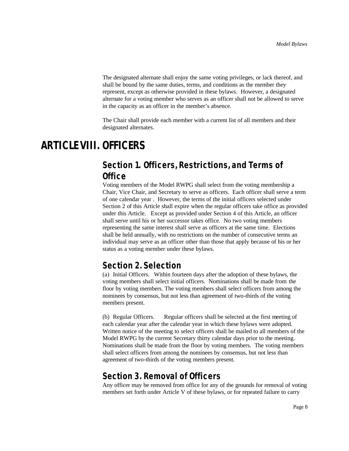The designated alternate shall enjoy the same voting privileges, or lack thereof, and shall be bound by the same duties, terms, and conditions as the member they represent, except as otherwise provided in these bylaws. However, a designated alternate for a voting member who serves as an officer shall not be allowed to serve in the capacity as an officer in the member's absence.

The Chair shall provide each member with a current list of all members and their designated alternates.

# **ARTICLE VIII. OFFICERS**

### **Section 1. Officers, Restrictions, and Terms of Office**

Voting members of the Model RWPG shall select from the voting membership a Chair, Vice Chair, and Secretary to serve as officers. Each officer shall serve a term of one calendar year . However, the terms of the initial officers selected under Section 2 of this Article shall expire when the regular officers take office as provided under this Article. Except as provided under Section 4 of this Article, an officer shall serve until his or her successor takes office. No two voting members representing the same interest shall serve as officers at the same time. Elections shall be held annually, with no restrictions on the number of consecutive terms an individual may serve as an officer other than those that apply because of his or her status as a voting member under these bylaws.

#### **Section 2. Selection**

(a) Initial Officers. Within fourteen days after the adoption of these bylaws, the voting members shall select initial officers. Nominations shall be made from the floor by voting members. The voting members shall select officers from among the nominees by consensus, but not less than agreement of two-thirds of the voting members present.

(b) Regular Officers. Regular officers shall be selected at the first meeting of each calendar year after the calendar year in which these bylaws were adopted. Written notice of the meeting to select officers shall be mailed to all members of the Model RWPG by the current Secretary thirty calendar days prior to the meeting. Nominations shall be made from the floor by voting members. The voting members shall select officers from among the nominees by consensus, but not less than agreement of two-thirds of the voting members present.

#### **Section 3. Removal of Officers**

Any officer may be removed from office for any of the grounds for removal of voting members set forth under Article V of these bylaws, or for repeated failure to carry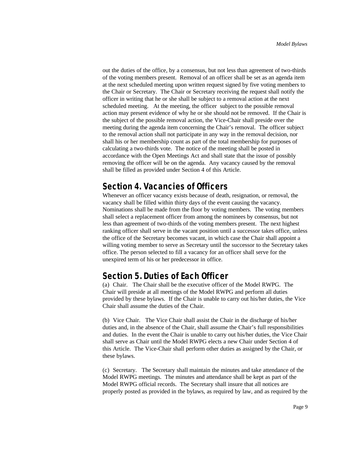out the duties of the office, by a consensus, but not less than agreement of two-thirds of the voting members present. Removal of an officer shall be set as an agenda item at the next scheduled meeting upon written request signed by five voting members to the Chair or Secretary. The Chair or Secretary receiving the request shall notify the officer in writing that he or she shall be subject to a removal action at the next scheduled meeting. At the meeting, the officer subject to the possible removal action may present evidence of why he or she should not be removed. If the Chair is the subject of the possible removal action, the Vice-Chair shall preside over the meeting during the agenda item concerning the Chair's removal. The officer subject to the removal action shall not participate in any way in the removal decision, nor shall his or her membership count as part of the total membership for purposes of calculating a two-thirds vote. The notice of the meeting shall be posted in accordance with the Open Meetings Act and shall state that the issue of possibly removing the officer will be on the agenda. Any vacancy caused by the removal shall be filled as provided under Section 4 of this Article.

#### **Section 4. Vacancies of Officers**

Whenever an officer vacancy exists because of death, resignation, or removal, the vacancy shall be filled within thirty days of the event causing the vacancy. Nominations shall be made from the floor by voting members. The voting members shall select a replacement officer from among the nominees by consensus, but not less than agreement of two-thirds of the voting members present. The next highest ranking officer shall serve in the vacant position until a successor takes office, unless the office of the Secretary becomes vacant, in which case the Chair shall appoint a willing voting member to serve as Secretary until the successor to the Secretary takes office. The person selected to fill a vacancy for an officer shall serve for the unexpired term of his or her predecessor in office.

#### **Section 5. Duties of Each Officer**

(a) Chair. The Chair shall be the executive officer of the Model RWPG. The Chair will preside at all meetings of the Model RWPG and perform all duties provided by these bylaws. If the Chair is unable to carry out his/her duties, the Vice Chair shall assume the duties of the Chair.

(b) Vice Chair. The Vice Chair shall assist the Chair in the discharge of his/her duties and, in the absence of the Chair, shall assume the Chair's full responsibilities and duties. In the event the Chair is unable to carry out his/her duties, the Vice Chair shall serve as Chair until the Model RWPG elects a new Chair under Section 4 of this Article. The Vice-Chair shall perform other duties as assigned by the Chair, or these bylaws.

(c) Secretary. The Secretary shall maintain the minutes and take attendance of the Model RWPG meetings. The minutes and attendance shall be kept as part of the Model RWPG official records. The Secretary shall insure that all notices are properly posted as provided in the bylaws, as required by law, and as required by the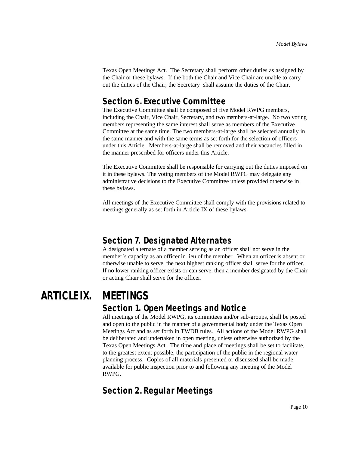Texas Open Meetings Act. The Secretary shall perform other duties as assigned by the Chair or these bylaws. If the both the Chair and Vice Chair are unable to carry out the duties of the Chair, the Secretary shall assume the duties of the Chair.

## **Section 6. Executive Committee**

The Executive Committee shall be composed of five Model RWPG members, including the Chair, Vice Chair, Secretary, and two members-at-large. No two voting members representing the same interest shall serve as members of the Executive Committee at the same time. The two members-at-large shall be selected annually in the same manner and with the same terms as set forth for the selection of officers under this Article. Members-at-large shall be removed and their vacancies filled in the manner prescribed for officers under this Article.

The Executive Committee shall be responsible for carrying out the duties imposed on it in these bylaws. The voting members of the Model RWPG may delegate any administrative decisions to the Executive Committee unless provided otherwise in these bylaws.

All meetings of the Executive Committee shall comply with the provisions related to meetings generally as set forth in Article IX of these bylaws.

## **Section 7. Designated Alternates**

A designated alternate of a member serving as an officer shall not serve in the member's capacity as an officer in lieu of the member. When an officer is absent or otherwise unable to serve, the next highest ranking officer shall serve for the officer. If no lower ranking officer exists or can serve, then a member designated by the Chair or acting Chair shall serve for the officer.

# **ARTICLE IX. MEETINGS**

#### **Section 1. Open Meetings and Notice**

All meetings of the Model RWPG, its committees and/or sub-groups, shall be posted and open to the public in the manner of a governmental body under the Texas Open Meetings Act and as set forth in TWDB rules. All actions of the Model RWPG shall be deliberated and undertaken in open meeting, unless otherwise authorized by the Texas Open Meetings Act. The time and place of meetings shall be set to facilitate, to the greatest extent possible, the participation of the public in the regional water planning process. Copies of all materials presented or discussed shall be made available for public inspection prior to and following any meeting of the Model RWPG.

# **Section 2. Regular Meetings**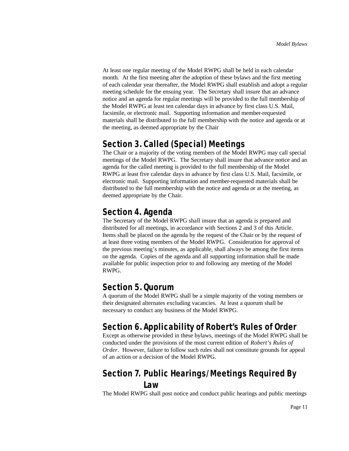At least one regular meeting of the Model RWPG shall be held in each calendar month. At the first meeting after the adoption of these bylaws and the first meeting of each calendar year thereafter, the Model RWPG shall establish and adopt a regular meeting schedule for the ensuing year. The Secretary shall insure that an advance notice and an agenda for regular meetings will be provided to the full membership of the Model RWPG at least ten calendar days in advance by first class U.S. Mail, facsimile, or electronic mail. Supporting information and member-requested materials shall be distributed to the full membership with the notice and agenda or at the meeting, as deemed appropriate by the Chair

# **Section 3. Called (Special) Meetings**

The Chair or a majority of the voting members of the Model RWPG may call special meetings of the Model RWPG. The Secretary shall insure that advance notice and an agenda for the called meeting is provided to the full membership of the Model RWPG at least five calendar days in advance by first class U.S. Mail, facsimile, or electronic mail. Supporting information and member-requested materials shall be distributed to the full membership with the notice and agenda or at the meeting, as deemed appropriate by the Chair.

## **Section 4. Agenda**

The Secretary of the Model RWPG shall insure that an agenda is prepared and distributed for all meetings, in accordance with Sections 2 and 3 of this Article. Items shall be placed on the agenda by the request of the Chair or by the request of at least three voting members of the Model RWPG. Consideration for approval of the previous meeting's minutes, as applicable, shall always be among the first items on the agenda. Copies of the agenda and all supporting information shall be made available for public inspection prior to and following any meeting of the Model RWPG.

## **Section 5. Quorum**

A quorum of the Model RWPG shall be a simple majority of the voting members or their designated alternates excluding vacancies. At least a quorum shall be necessary to conduct any business of the Model RWPG.

# **Section 6. Applicability of Robert's Rules of Order**

Except as otherwise provided in these bylaws, meetings of the Model RWPG shall be conducted under the provisions of the most current edition of *Robert's Rules of Order*. However, failure to follow such rules shall not constitute grounds for appeal of an action or a decision of the Model RWPG.

# **Section 7. Public Hearings/Meetings Required By Law**

The Model RWPG shall post notice and conduct public hearings and public meetings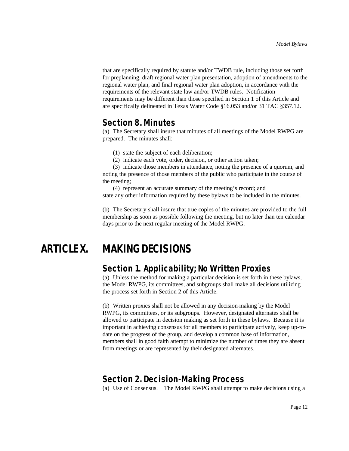that are specifically required by statute and/or TWDB rule, including those set forth for preplanning, draft regional water plan presentation, adoption of amendments to the regional water plan, and final regional water plan adoption, in accordance with the requirements of the relevant state law and/or TWDB rules. Notification requirements may be different than those specified in Section 1 of this Article and are specifically delineated in Texas Water Code §16.053 and/or 31 TAC §357.12.

#### **Section 8. Minutes**

(a) The Secretary shall insure that minutes of all meetings of the Model RWPG are prepared. The minutes shall:

(1) state the subject of each deliberation;

(2) indicate each vote, order, decision, or other action taken;

(3) indicate those members in attendance, noting the presence of a quorum, and noting the presence of those members of the public who participate in the course of the meeting;

(4) represent an accurate summary of the meeting's record; and

state any other information required by these bylaws to be included in the minutes.

(b) The Secretary shall insure that true copies of the minutes are provided to the full membership as soon as possible following the meeting, but no later than ten calendar days prior to the next regular meeting of the Model RWPG.

# **ARTICLE X. MAKING DECISIONS**

#### **Section 1. Applicability; No Written Proxies**

(a) Unless the method for making a particular decision is set forth in these bylaws, the Model RWPG, its committees, and subgroups shall make all decisions utilizing the process set forth in Section 2 of this Article.

(b) Written proxies shall not be allowed in any decision-making by the Model RWPG, its committees, or its subgroups. However, designated alternates shall be allowed to participate in decision making as set forth in these bylaws. Because it is important in achieving consensus for all members to participate actively, keep up-todate on the progress of the group, and develop a common base of information, members shall in good faith attempt to minimize the number of times they are absent from meetings or are represented by their designated alternates.

#### **Section 2. Decision-Making Process**

(a) Use of Consensus. The Model RWPG shall attempt to make decisions using a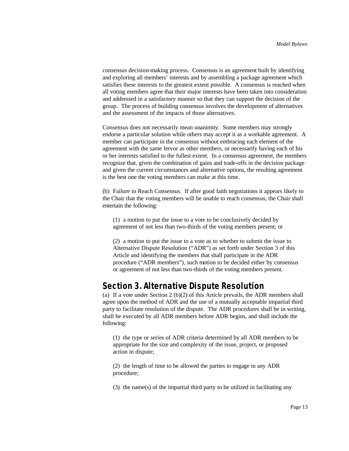consensus decision-making process. Consensus is an agreement built by identifying and exploring all members' interests and by assembling a package agreement which satisfies these interests to the greatest extent possible. A consensus is reached when all voting members agree that their major interests have been taken into consideration and addressed in a satisfactory manner so that they can support the decision of the group. The process of building consensus involves the development of alternatives and the assessment of the impacts of those alternatives.

Consensus does not necessarily mean unanimity. Some members may strongly endorse a particular solution while others may accept it as a workable agreement. A member can participate in the consensus without embracing each element of the agreement with the same fervor as other members, or necessarily having each of his or her interests satisfied to the fullest extent. In a consensus agreement, the members recognize that, given the combination of gains and trade-offs in the decision package and given the current circumstances and alternative options, the resulting agreement is the best one the voting members can make at this time.

(b) Failure to Reach Consensus. If after good faith negotiations it appears likely to the Chair that the voting members will be unable to reach consensus, the Chair shall entertain the following:

(1) a motion to put the issue to a vote to be conclusively decided by agreement of not less than two-thirds of the voting members present; or

(2) a motion to put the issue to a vote as to whether to submit the issue to Alternative Dispute Resolution ("ADR") as set forth under Section 3 of this Article and identifying the members that shall participate in the ADR procedure ("ADR members"), such motion to be decided either by consensus or agreement of not less than two-thirds of the voting members present.

#### **Section 3. Alternative Dispute Resolution**

(a) If a vote under Section 2 (b)(2) of this Article prevails, the ADR members shall agree upon the method of ADR and the use of a mutually acceptable impartial third party to facilitate resolution of the dispute. The ADR procedures shall be in writing, shall be executed by all ADR members before ADR begins, and shall include the following:

(1) the type or series of ADR criteria determined by all ADR members to be appropriate for the size and complexity of the issue, project, or proposed action in dispute;

(2) the length of time to be allowed the parties to engage in any ADR procedure;

(3) the name(s) of the impartial third party to be utilized in facilitating any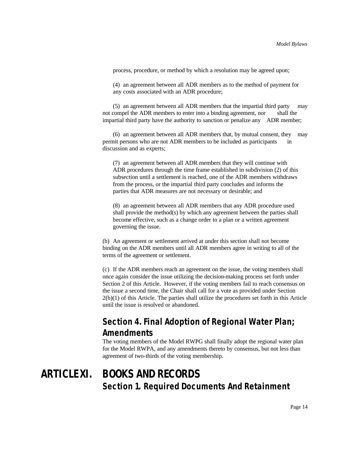process, procedure, or method by which a resolution may be agreed upon;

(4) an agreement between all ADR members as to the method of payment for any costs associated with an ADR procedure;

(5) an agreement between all ADR members that the impartial third party may not compel the ADR members to enter into a binding agreement, nor shall the impartial third party have the authority to sanction or penalize any ADR member;

(6) an agreement between all ADR members that, by mutual consent, they may permit persons who are not ADR members to be included as participants in discussion and as experts;

(7) an agreement between all ADR members that they will continue with ADR procedures through the time frame established in subdivision (2) of this subsection until a settlement is reached, one of the ADR members withdraws from the process, or the impartial third party concludes and informs the parties that ADR measures are not necessary or desirable; and

(8) an agreement between all ADR members that any ADR procedure used shall provide the method(s) by which any agreement between the parties shall become effective, such as a change order to a plan or a written agreement governing the issue.

(b) An agreement or settlement arrived at under this section shall not become binding on the ADR members until all ADR members agree in writing to all of the terms of the agreement or settlement.

(c) If the ADR members reach an agreement on the issue, the voting members shall once again consider the issue utilizing the decision-making process set forth under Section 2 of this Article. However, if the voting members fail to reach consensus on the issue a second time, the Chair shall call for a vote as provided under Section 2(b)(1) of this Article. The parties shall utilize the procedures set forth in this Article until the issue is resolved or abandoned.

# **Section 4. Final Adoption of Regional Water Plan; Amendments**

The voting members of the Model RWPG shall finally adopt the regional water plan for the Model RWPA, and any amendments thereto by consensus, but not less than agreement of two-thirds of the voting membership.

# **ARTICLE XI. BOOKS AND RECORDS Section 1. Required Documents And Retainment**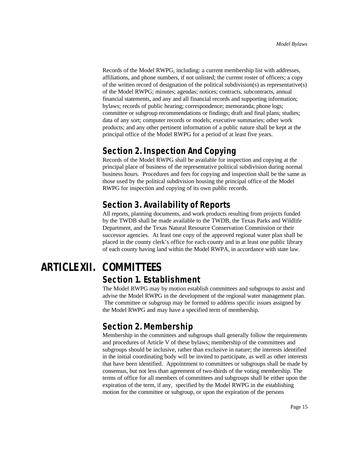Records of the Model RWPG, including: a current membership list with addresses, affiliations, and phone numbers, if not unlisted; the current roster of officers; a copy of the written record of designation of the political subdivision(s) as representative(s) of the Model RWPG; minutes; agendas; notices; contracts, subcontracts, annual financial statements, and any and all financial records and supporting information; bylaws; records of public hearing; correspondence; memoranda; phone logs; committee or subgroup recommendations or findings; draft and final plans; studies; data of any sort; computer records or models; executive summaries; other work products; and any other pertinent information of a public nature shall be kept at the principal office of the Model RWPG for a period of at least five years.

### **Section 2. Inspection And Copying**

Records of the Model RWPG shall be available for inspection and copying at the principal place of business of the representative political subdivision during normal business hours. Procedures and fees for copying and inspection shall be the same as those used by the political subdivision housing the principal office of the Model RWPG for inspection and copying of its own public records.

## **Section 3. Availability of Reports**

All reports, planning documents, and work products resulting from projects funded by the TWDB shall be made available to the TWDB, the Texas Parks and Wildlife Department, and the Texas Natural Resource Conservation Commission or their successor agencies. At least one copy of the approved regional water plan shall be placed in the county clerk's office for each county and in at least one public library of each county having land within the Model RWPA, in accordance with state law.

# **ARTICLE XII. COMMITTEES Section 1. Establishment**

The Model RWPG may by motion establish committees and subgroups to assist and advise the Model RWPG in the development of the regional water management plan. The committee or subgroup may be formed to address specific issues assigned by the Model RWPG and may have a specified term of membership.

# **Section 2. Membership**

Membership in the committees and subgroups shall generally follow the requirements and procedures of Article V of these bylaws; membership of the committees and subgroups should be inclusive, rather than exclusive in nature; the interests identified in the initial coordinating body will be invited to participate, as well as other interests that have been identified. Appointment to committees or subgroups shall be made by consensus, but not less than agreement of two-thirds of the voting membership. The terms of office for all members of committees and subgroups shall be either upon the expiration of the term, if any, specified by the Model RWPG in the establishing motion for the committee or subgroup, or upon the expiration of the persons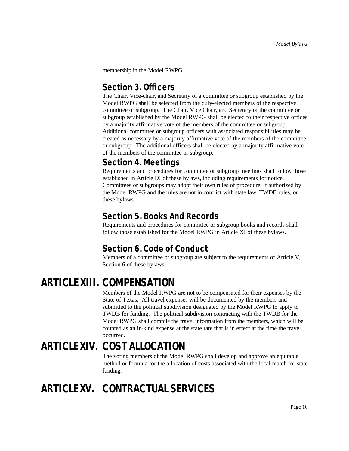membership in the Model RWPG.

#### **Section 3. Officers**

The Chair, Vice-chair, and Secretary of a committee or subgroup established by the Model RWPG shall be selected from the duly-elected members of the respective committee or subgroup. The Chair, Vice Chair, and Secretary of the committee or subgroup established by the Model RWPG shall be elected to their respective offices by a majority affirmative vote of the members of the committee or subgroup. Additional committee or subgroup officers with associated responsibilities may be created as necessary by a majority affirmative vote of the members of the committee or subgroup. The additional officers shall be elected by a majority affirmative vote of the members of the committee or subgroup.

## **Section 4. Meetings**

Requirements and procedures for committee or subgroup meetings shall follow those established in Article IX of these bylaws, including requirements for notice. Committees or subgroups may adopt their own rules of procedure, if authorized by the Model RWPG and the rules are not in conflict with state law, TWDB rules, or these bylaws.

## **Section 5. Books And Records**

Requirements and procedures for committee or subgroup books and records shall follow those established for the Model RWPG in Article XI of these bylaws.

# **Section 6. Code of Conduct**

Members of a committee or subgroup are subject to the requirements of Article V, Section 6 of these bylaws.

# **ARTICLE XIII. COMPENSATION**

Members of the Model RWPG are not to be compensated for their expenses by the State of Texas. All travel expenses will be documented by the members and submitted to the political subdivision designated by the Model RWPG to apply to TWDB for funding. The political subdivision contracting with the TWDB for the Model RWPG shall compile the travel information from the members, which will be counted as an in-kind expense at the state rate that is in effect at the time the travel occurred.

# **ARTICLE XIV. COST ALLOCATION**

The voting members of the Model RWPG shall develop and approve an equitable method or formula for the allocation of costs associated with the local match for state funding.

# **ARTICLE XV. CONTRACTUAL SERVICES**